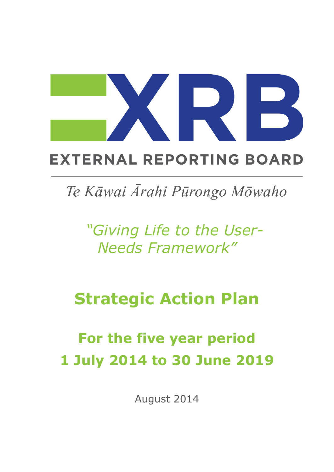## **EXTERNAL REPORTING BOARD**

## Te Kāwai Ārahi Pūrongo Mōwaho

*"Giving Life to the User-Needs Framework"*

## **Strategic Action Plan**

# **For the five year period 1 July 2014 to 30 June 2019**

August 2014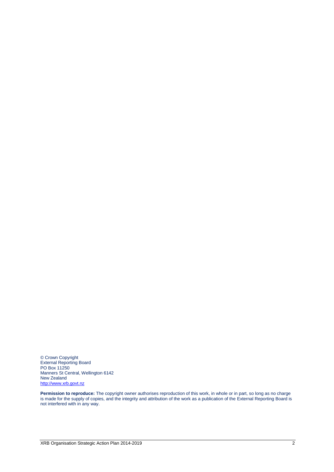© Crown Copyright External Reporting Board PO Box 11250 Manners St Central, Wellington 6142 New Zealand [http://www.xrb.govt.nz](http://www.xrb.govt.nz/)

**Permission to reproduce:** The copyright owner authorises reproduction of this work, in whole or in part, so long as no charge is made for the supply of copies, and the integrity and attribution of the work as a publication of the External Reporting Board is not interfered with in any way.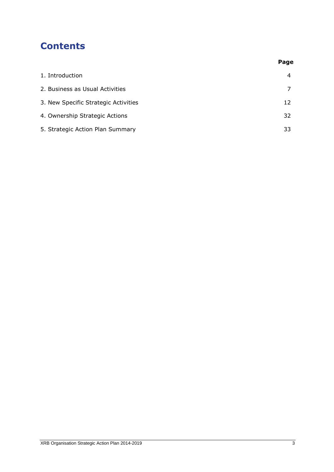## **Contents**

|                                      | Page |
|--------------------------------------|------|
| 1. Introduction                      | 4    |
| 2. Business as Usual Activities      |      |
| 3. New Specific Strategic Activities | 12   |
| 4. Ownership Strategic Actions       | 32   |
| 5. Strategic Action Plan Summary     | 33   |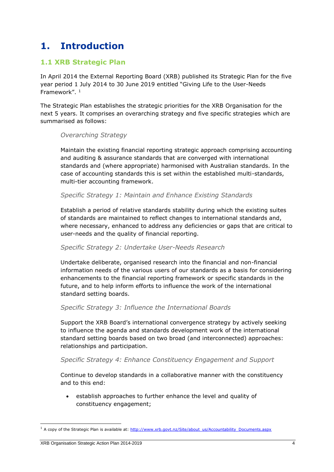## **1. Introduction**

#### **1.1 XRB Strategic Plan**

In April 2014 the External Reporting Board (XRB) published its Strategic Plan for the five year period 1 July 2014 to 30 June 2019 entitled "Giving Life to the User-Needs Framework".<sup>1</sup>

The Strategic Plan establishes the strategic priorities for the XRB Organisation for the next 5 years. It comprises an overarching strategy and five specific strategies which are summarised as follows:

#### *Overarching Strategy*

Maintain the existing financial reporting strategic approach comprising accounting and auditing & assurance standards that are converged with international standards and (where appropriate) harmonised with Australian standards. In the case of accounting standards this is set within the established multi-standards, multi-tier accounting framework.

#### *Specific Strategy 1: Maintain and Enhance Existing Standards*

Establish a period of relative standards stability during which the existing suites of standards are maintained to reflect changes to international standards and, where necessary, enhanced to address any deficiencies or gaps that are critical to user-needs and the quality of financial reporting.

#### *Specific Strategy 2: Undertake User-Needs Research*

Undertake deliberate, organised research into the financial and non-financial information needs of the various users of our standards as a basis for considering enhancements to the financial reporting framework or specific standards in the future, and to help inform efforts to influence the work of the international standard setting boards.

#### *Specific Strategy 3: Influence the International Boards*

Support the XRB Board's international convergence strategy by actively seeking to influence the agenda and standards development work of the international standard setting boards based on two broad (and interconnected) approaches: relationships and participation.

#### *Specific Strategy 4: Enhance Constituency Engagement and Support*

Continue to develop standards in a collaborative manner with the constituency and to this end:

 establish approaches to further enhance the level and quality of constituency engagement;

<sup>&</sup>lt;sup>1</sup> A copy of the Strategic Plan is available at: [http://www.xrb.govt.nz/Site/about\\_us/Accountability\\_Documents.aspx](http://www.xrb.govt.nz/Site/about_us/Accountability_Documents.aspx)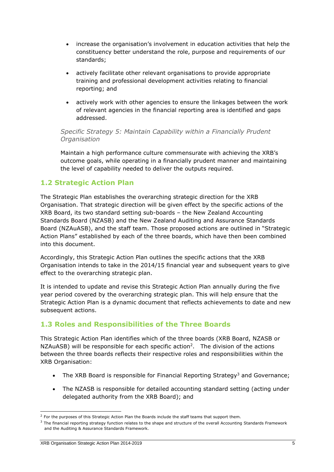- increase the organisation's involvement in education activities that help the constituency better understand the role, purpose and requirements of our standards;
- actively facilitate other relevant organisations to provide appropriate training and professional development activities relating to financial reporting; and
- actively work with other agencies to ensure the linkages between the work of relevant agencies in the financial reporting area is identified and gaps addressed.

#### *Specific Strategy 5: Maintain Capability within a Financially Prudent Organisation*

Maintain a high performance culture commensurate with achieving the XRB's outcome goals, while operating in a financially prudent manner and maintaining the level of capability needed to deliver the outputs required.

#### **1.2 Strategic Action Plan**

The Strategic Plan establishes the overarching strategic direction for the XRB Organisation. That strategic direction will be given effect by the specific actions of the XRB Board, its two standard setting sub-boards – the New Zealand Accounting Standards Board (NZASB) and the New Zealand Auditing and Assurance Standards Board (NZAuASB), and the staff team. Those proposed actions are outlined in "Strategic Action Plans" established by each of the three boards, which have then been combined into this document.

Accordingly, this Strategic Action Plan outlines the specific actions that the XRB Organisation intends to take in the 2014/15 financial year and subsequent years to give effect to the overarching strategic plan.

It is intended to update and revise this Strategic Action Plan annually during the five year period covered by the overarching strategic plan. This will help ensure that the Strategic Action Plan is a dynamic document that reflects achievements to date and new subsequent actions.

#### **1.3 Roles and Responsibilities of the Three Boards**

This Strategic Action Plan identifies which of the three boards (XRB Board, NZASB or  $NZAuASB$ ) will be responsible for each specific action<sup>2</sup>. The division of the actions between the three boards reflects their respective roles and responsibilities within the XRB Organisation:

- The XRB Board is responsible for Financial Reporting Strategy<sup>3</sup> and Governance;
- The NZASB is responsible for detailed accounting standard setting (acting under delegated authority from the XRB Board); and

<sup>&</sup>lt;sup>2</sup> For the purposes of this Strategic Action Plan the Boards include the staff teams that support them.

<sup>&</sup>lt;sup>3</sup> The financial reporting strategy function relates to the shape and structure of the overall Accounting Standards Framework and the Auditing & Assurance Standards Framework.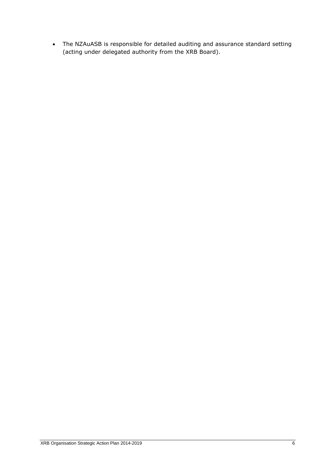The NZAuASB is responsible for detailed auditing and assurance standard setting (acting under delegated authority from the XRB Board).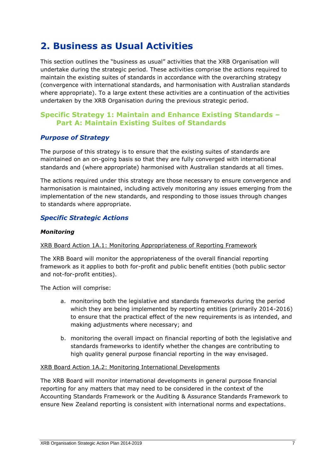## **2. Business as Usual Activities**

This section outlines the "business as usual" activities that the XRB Organisation will undertake during the strategic period. These activities comprise the actions required to maintain the existing suites of standards in accordance with the overarching strategy (convergence with international standards, and harmonisation with Australian standards where appropriate). To a large extent these activities are a continuation of the activities undertaken by the XRB Organisation during the previous strategic period.

#### **Specific Strategy 1: Maintain and Enhance Existing Standards – Part A: Maintain Existing Suites of Standards**

#### *Purpose of Strategy*

The purpose of this strategy is to ensure that the existing suites of standards are maintained on an on-going basis so that they are fully converged with international standards and (where appropriate) harmonised with Australian standards at all times.

The actions required under this strategy are those necessary to ensure convergence and harmonisation is maintained, including actively monitoring any issues emerging from the implementation of the new standards, and responding to those issues through changes to standards where appropriate.

#### *Specific Strategic Actions*

#### *Monitoring*

#### XRB Board Action 1A.1: Monitoring Appropriateness of Reporting Framework

The XRB Board will monitor the appropriateness of the overall financial reporting framework as it applies to both for-profit and public benefit entities (both public sector and not-for-profit entities).

The Action will comprise:

- a. monitoring both the legislative and standards frameworks during the period which they are being implemented by reporting entities (primarily 2014-2016) to ensure that the practical effect of the new requirements is as intended, and making adjustments where necessary; and
- b. monitoring the overall impact on financial reporting of both the legislative and standards frameworks to identify whether the changes are contributing to high quality general purpose financial reporting in the way envisaged.

#### XRB Board Action 1A.2: Monitoring International Developments

The XRB Board will monitor international developments in general purpose financial reporting for any matters that may need to be considered in the context of the Accounting Standards Framework or the Auditing & Assurance Standards Framework to ensure New Zealand reporting is consistent with international norms and expectations.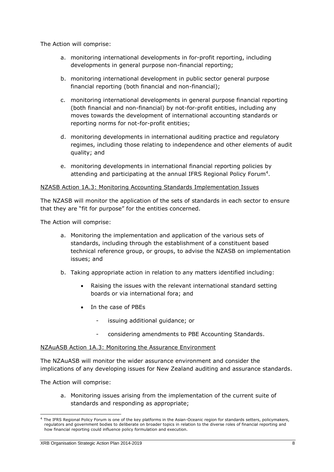The Action will comprise:

- a. monitoring international developments in for-profit reporting, including developments in general purpose non-financial reporting;
- b. monitoring international development in public sector general purpose financial reporting (both financial and non-financial);
- c. monitoring international developments in general purpose financial reporting (both financial and non-financial) by not-for-profit entities, including any moves towards the development of international accounting standards or reporting norms for not-for-profit entities;
- d. monitoring developments in international auditing practice and regulatory regimes, including those relating to independence and other elements of audit quality; and
- e. monitoring developments in international financial reporting policies by attending and participating at the annual IFRS Regional Policy Forum<sup>4</sup>.

#### NZASB Action 1A.3: Monitoring Accounting Standards Implementation Issues

The NZASB will monitor the application of the sets of standards in each sector to ensure that they are "fit for purpose" for the entities concerned.

The Action will comprise:

- a. Monitoring the implementation and application of the various sets of standards, including through the establishment of a constituent based technical reference group, or groups, to advise the NZASB on implementation issues; and
- b. Taking appropriate action in relation to any matters identified including:
	- Raising the issues with the relevant international standard setting boards or via international fora; and
	- In the case of PBEs
		- issuing additional guidance; or
		- considering amendments to PBE Accounting Standards.

#### NZAuASB Action 1A.3: Monitoring the Assurance Environment

The NZAuASB will monitor the wider assurance environment and consider the implications of any developing issues for New Zealand auditing and assurance standards.

The Action will comprise:

-

a. Monitoring issues arising from the implementation of the current suite of standards and responding as appropriate;

<sup>4</sup> The IFRS Regional Policy Forum is one of the key platforms in the Asian-Oceanic region for standards setters, policymakers, regulators and government bodies to deliberate on broader topics in relation to the diverse roles of financial reporting and how financial reporting could influence policy formulation and execution.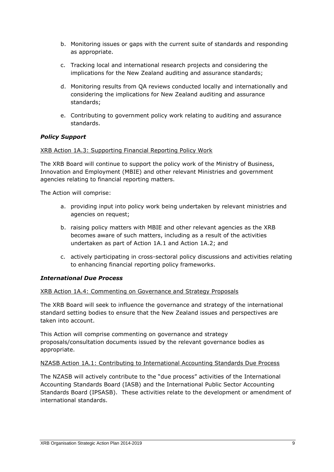- b. Monitoring issues or gaps with the current suite of standards and responding as appropriate.
- c. Tracking local and international research projects and considering the implications for the New Zealand auditing and assurance standards;
- d. Monitoring results from QA reviews conducted locally and internationally and considering the implications for New Zealand auditing and assurance standards;
- e. Contributing to government policy work relating to auditing and assurance standards.

#### *Policy Support*

#### XRB Action 1A.3: Supporting Financial Reporting Policy Work

The XRB Board will continue to support the policy work of the Ministry of Business, Innovation and Employment (MBIE) and other relevant Ministries and government agencies relating to financial reporting matters.

The Action will comprise:

- a. providing input into policy work being undertaken by relevant ministries and agencies on request;
- b. raising policy matters with MBIE and other relevant agencies as the XRB becomes aware of such matters, including as a result of the activities undertaken as part of Action 1A.1 and Action 1A.2; and
- c. actively participating in cross-sectoral policy discussions and activities relating to enhancing financial reporting policy frameworks.

#### *International Due Process*

#### XRB Action 1A.4: Commenting on Governance and Strategy Proposals

The XRB Board will seek to influence the governance and strategy of the international standard setting bodies to ensure that the New Zealand issues and perspectives are taken into account.

This Action will comprise commenting on governance and strategy proposals/consultation documents issued by the relevant governance bodies as appropriate.

#### NZASB Action 1A.1: Contributing to International Accounting Standards Due Process

The NZASB will actively contribute to the "due process" activities of the International Accounting Standards Board (IASB) and the International Public Sector Accounting Standards Board (IPSASB). These activities relate to the development or amendment of international standards.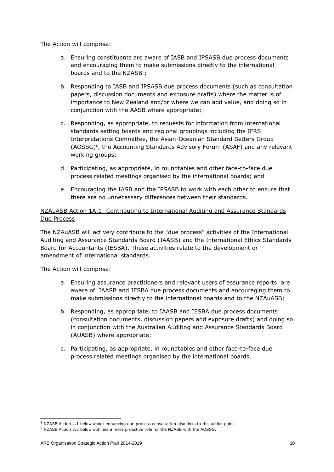The Action will comprise:

- a. Ensuring constituents are aware of IASB and IPSASB due process documents and encouraging them to make submissions directly to the international boards and to the NZASB<sup>5</sup>;
- b. Responding to IASB and IPSASB due process documents (such as consultation papers, discussion documents and exposure drafts) where the matter is of importance to New Zealand and/or where we can add value, and doing so in conjunction with the AASB where appropriate;
- c. Responding, as appropriate, to requests for information from international standards setting boards and regional groupings including the IFRS Interpretations Committee, the Asian-Oceanian Standard Setters Group (AOSSG)<sup>6</sup> , the Accounting Standards Advisory Forum (ASAF) and any relevant working groups;
- d. Participating, as appropriate, in roundtables and other face-to-face due process related meetings organised by the international boards; and
- e. Encouraging the IASB and the IPSASB to work with each other to ensure that there are no unnecessary differences between their standards.

#### NZAuASB Action 1A.1: Contributing to International Auditing and Assurance Standards Due Process

The NZAuASB will actively contribute to the "due process" activities of the International Auditing and Assurance Standards Board (IAASB) and the International Ethics Standards Board for Accountants (IESBA). These activities relate to the development or amendment of international standards.

The Action will comprise:

- a. Ensuring assurance practitioners and relevant users of assurance reports are aware of IAASB and IESBA due process documents and encouraging them to make submissions directly to the international boards and to the NZAuASB;
- b. Responding, as appropriate, to IAASB and IESBA due process documents (consultation documents, discussion papers and exposure drafts) and doing so in conjunction with the Australian Auditing and Assurance Standards Board (AUASB) where appropriate;
- c. Participating, as appropriate, in roundtables and other face-to-face due process related meetings organised by the international boards.

<sup>5</sup> NZASB Action 4.1 below about enhancing due process consultation also links to this action point.

<sup>6</sup> NZASB Action 3.3 below outlines a more proactive role for the NZASB with the AOSSG.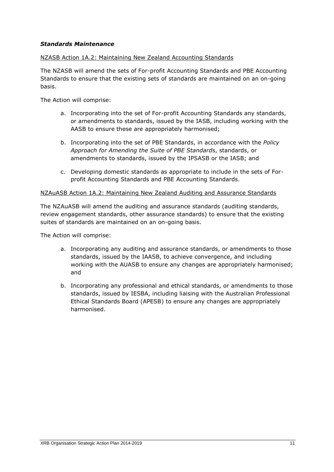#### *Standards Maintenance*

#### NZASB Action 1A.2: Maintaining New Zealand Accounting Standards

The NZASB will amend the sets of For-profit Accounting Standards and PBE Accounting Standards to ensure that the existing sets of standards are maintained on an on-going basis.

The Action will comprise:

- a. Incorporating into the set of For-profit Accounting Standards any standards, or amendments to standards, issued by the IASB, including working with the AASB to ensure these are appropriately harmonised;
- b. Incorporating into the set of PBE Standards, in accordance with the *Policy Approach for Amending the Suite of PBE Standard*s, standards, or amendments to standards, issued by the IPSASB or the IASB; and
- c. Developing domestic standards as appropriate to include in the sets of Forprofit Accounting Standards and PBE Accounting Standards.

#### NZAuASB Action 1A.2: Maintaining New Zealand Auditing and Assurance Standards

The NZAuASB will amend the auditing and assurance standards (auditing standards, review engagement standards, other assurance standards) to ensure that the existing suites of standards are maintained on an on-going basis.

The Action will comprise:

- a. Incorporating any auditing and assurance standards, or amendments to those standards, issued by the IAASB, to achieve convergence, and including working with the AUASB to ensure any changes are appropriately harmonised; and
- b. Incorporating any professional and ethical standards, or amendments to those standards, issued by IESBA, including liaising with the Australian Professional Ethical Standards Board (APESB) to ensure any changes are appropriately harmonised.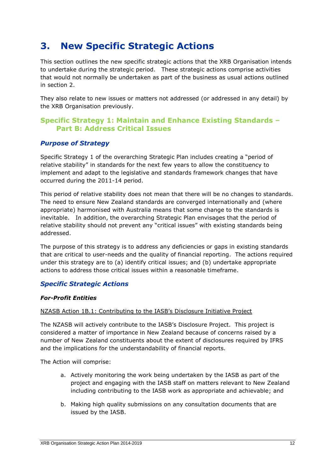## **3. New Specific Strategic Actions**

This section outlines the new specific strategic actions that the XRB Organisation intends to undertake during the strategic period. These strategic actions comprise activities that would not normally be undertaken as part of the business as usual actions outlined in section 2.

They also relate to new issues or matters not addressed (or addressed in any detail) by the XRB Organisation previously.

#### **Specific Strategy 1: Maintain and Enhance Existing Standards – Part B: Address Critical Issues**

#### *Purpose of Strategy*

Specific Strategy 1 of the overarching Strategic Plan includes creating a "period of relative stability" in standards for the next few years to allow the constituency to implement and adapt to the legislative and standards framework changes that have occurred during the 2011-14 period.

This period of relative stability does not mean that there will be no changes to standards. The need to ensure New Zealand standards are converged internationally and (where appropriate) harmonised with Australia means that some change to the standards is inevitable. In addition, the overarching Strategic Plan envisages that the period of relative stability should not prevent any "critical issues" with existing standards being addressed.

The purpose of this strategy is to address any deficiencies or gaps in existing standards that are critical to user-needs and the quality of financial reporting. The actions required under this strategy are to (a) identify critical issues; and (b) undertake appropriate actions to address those critical issues within a reasonable timeframe.

#### *Specific Strategic Actions*

#### *For-Profit Entities*

#### NZASB Action 1B.1: Contributing to the IASB's Disclosure Initiative Project

The NZASB will actively contribute to the IASB's Disclosure Project. This project is considered a matter of importance in New Zealand because of concerns raised by a number of New Zealand constituents about the extent of disclosures required by IFRS and the implications for the understandability of financial reports.

The Action will comprise:

- a. Actively monitoring the work being undertaken by the IASB as part of the project and engaging with the IASB staff on matters relevant to New Zealand including contributing to the IASB work as appropriate and achievable; and
- b. Making high quality submissions on any consultation documents that are issued by the IASB.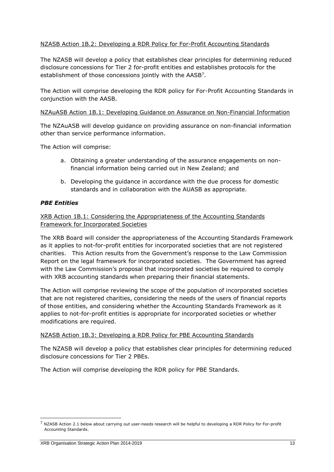#### NZASB Action 1B.2: Developing a RDR Policy for For-Profit Accounting Standards

The NZASB will develop a policy that establishes clear principles for determining reduced disclosure concessions for Tier 2 for-profit entities and establishes protocols for the establishment of those concessions jointly with the AASB<sup>7</sup>.

The Action will comprise developing the RDR policy for For-Profit Accounting Standards in conjunction with the AASB.

#### NZAuASB Action 1B.1: Developing Guidance on Assurance on Non-Financial Information

The NZAuASB will develop guidance on providing assurance on non-financial information other than service performance information.

The Action will comprise:

- a. Obtaining a greater understanding of the assurance engagements on nonfinancial information being carried out in New Zealand; and
- b. Developing the guidance in accordance with the due process for domestic standards and in collaboration with the AUASB as appropriate.

#### *PBE Entities*

#### XRB Action 1B.1: Considering the Appropriateness of the Accounting Standards Framework for Incorporated Societies

The XRB Board will consider the appropriateness of the Accounting Standards Framework as it applies to not-for-profit entities for incorporated societies that are not registered charities. This Action results from the Government's response to the Law Commission Report on the legal framework for incorporated societies. The Government has agreed with the Law Commission's proposal that incorporated societies be required to comply with XRB accounting standards when preparing their financial statements.

The Action will comprise reviewing the scope of the population of incorporated societies that are not registered charities, considering the needs of the users of financial reports of those entities, and considering whether the Accounting Standards Framework as it applies to not-for-profit entities is appropriate for incorporated societies or whether modifications are required.

#### NZASB Action 1B.3: Developing a RDR Policy for PBE Accounting Standards

The NZASB will develop a policy that establishes clear principles for determining reduced disclosure concessions for Tier 2 PBEs.

The Action will comprise developing the RDR policy for PBE Standards.

<sup>7</sup> NZASB Action 2.1 below about carrying out user-needs research will be helpful to developing a RDR Policy for For-profit Accounting Standards.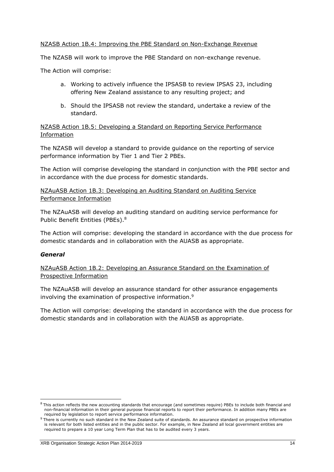#### NZASB Action 1B.4: Improving the PBE Standard on Non-Exchange Revenue

The NZASB will work to improve the PBE Standard on non-exchange revenue.

The Action will comprise:

- a. Working to actively influence the IPSASB to review IPSAS 23, including offering New Zealand assistance to any resulting project; and
- b. Should the IPSASB not review the standard, undertake a review of the standard.

NZASB Action 1B.5: Developing a Standard on Reporting Service Performance Information

The NZASB will develop a standard to provide guidance on the reporting of service performance information by Tier 1 and Tier 2 PBEs.

The Action will comprise developing the standard in conjunction with the PBE sector and in accordance with the due process for domestic standards.

NZAuASB Action 1B.3: Developing an Auditing Standard on Auditing Service Performance Information

The NZAuASB will develop an auditing standard on auditing service performance for Public Benefit Entities (PBEs).<sup>8</sup>

The Action will comprise: developing the standard in accordance with the due process for domestic standards and in collaboration with the AUASB as appropriate.

#### *General*

-

NZAuASB Action 1B.2: Developing an Assurance Standard on the Examination of Prospective Information

The NZAuASB will develop an assurance standard for other assurance engagements involving the examination of prospective information.<sup>9</sup>

The Action will comprise: developing the standard in accordance with the due process for domestic standards and in collaboration with the AUASB as appropriate.

<sup>8</sup> This action reflects the new accounting standards that encourage (and sometimes require) PBEs to include both financial and non-financial information in their general purpose financial reports to report their performance. In addition many PBEs are required by legislation to report service performance information.

<sup>&</sup>lt;sup>9</sup> There is currently no such standard in the New Zealand suite of standards. An assurance standard on prospective information is relevant for both listed entities and in the public sector. For example, in New Zealand all local government entities are required to prepare a 10 year Long Term Plan that has to be audited every 3 years.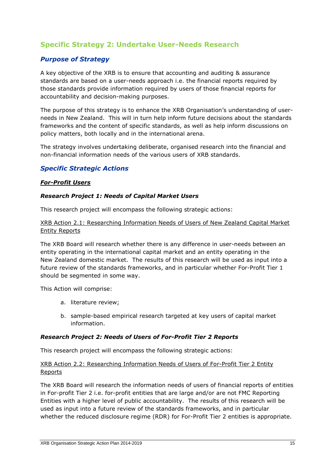#### **Specific Strategy 2: Undertake User-Needs Research**

#### *Purpose of Strategy*

A key objective of the XRB is to ensure that accounting and auditing & assurance standards are based on a user-needs approach i.e. the financial reports required by those standards provide information required by users of those financial reports for accountability and decision-making purposes.

The purpose of this strategy is to enhance the XRB Organisation's understanding of userneeds in New Zealand. This will in turn help inform future decisions about the standards frameworks and the content of specific standards, as well as help inform discussions on policy matters, both locally and in the international arena.

The strategy involves undertaking deliberate, organised research into the financial and non-financial information needs of the various users of XRB standards.

#### *Specific Strategic Actions*

#### *For-Profit Users*

#### *Research Project 1: Needs of Capital Market Users*

This research project will encompass the following strategic actions:

XRB Action 2.1: Researching Information Needs of Users of New Zealand Capital Market Entity Reports

The XRB Board will research whether there is any difference in user-needs between an entity operating in the international capital market and an entity operating in the New Zealand domestic market. The results of this research will be used as input into a future review of the standards frameworks, and in particular whether For-Profit Tier 1 should be segmented in some way.

This Action will comprise:

- a. literature review;
- b. sample-based empirical research targeted at key users of capital market information.

#### *Research Project 2: Needs of Users of For-Profit Tier 2 Reports*

This research project will encompass the following strategic actions:

#### XRB Action 2.2: Researching Information Needs of Users of For-Profit Tier 2 Entity Reports

The XRB Board will research the information needs of users of financial reports of entities in For-profit Tier 2 i.e. for-profit entities that are large and/or are not FMC Reporting Entities with a higher level of public accountability. The results of this research will be used as input into a future review of the standards frameworks, and in particular whether the reduced disclosure regime (RDR) for For-Profit Tier 2 entities is appropriate.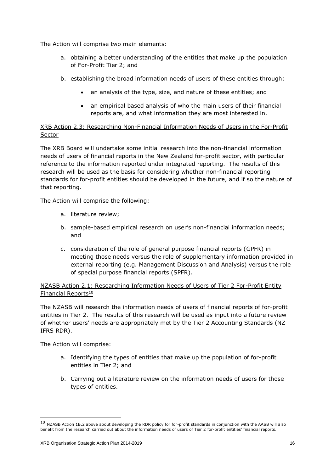The Action will comprise two main elements:

- a. obtaining a better understanding of the entities that make up the population of For-Profit Tier 2; and
- b. establishing the broad information needs of users of these entities through:
	- an analysis of the type, size, and nature of these entities; and
	- an empirical based analysis of who the main users of their financial reports are, and what information they are most interested in.

XRB Action 2.3: Researching Non-Financial Information Needs of Users in the For-Profit Sector

The XRB Board will undertake some initial research into the non-financial information needs of users of financial reports in the New Zealand for-profit sector, with particular reference to the information reported under integrated reporting. The results of this research will be used as the basis for considering whether non-financial reporting standards for for-profit entities should be developed in the future, and if so the nature of that reporting.

The Action will comprise the following:

- a. literature review;
- b. sample-based empirical research on user's non-financial information needs; and
- c. consideration of the role of general purpose financial reports (GPFR) in meeting those needs versus the role of supplementary information provided in external reporting (e.g. Management Discussion and Analysis) versus the role of special purpose financial reports (SPFR).

NZASB Action 2.1: Researching Information Needs of Users of Tier 2 For-Profit Entity Financial Reports $10$ 

The NZASB will research the information needs of users of financial reports of for-profit entities in Tier 2. The results of this research will be used as input into a future review of whether users' needs are appropriately met by the Tier 2 Accounting Standards (NZ IFRS RDR).

The Action will comprise:

- a. Identifying the types of entities that make up the population of for-profit entities in Tier 2; and
- b. Carrying out a literature review on the information needs of users for those types of entities.

 $10$  NZASB Action 1B.2 above about developing the RDR policy for for-profit standards in conjunction with the AASB will also benefit from the research carried out about the information needs of users of Tier 2 for-profit entities' financial reports.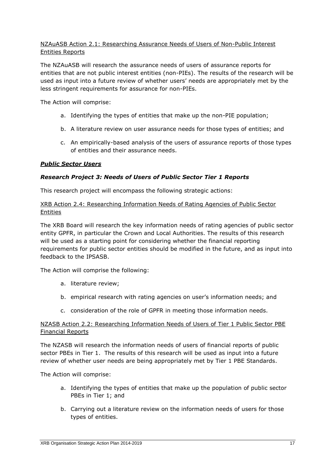#### NZAuASB Action 2.1: Researching Assurance Needs of Users of Non-Public Interest Entities Reports

The NZAuASB will research the assurance needs of users of assurance reports for entities that are not public interest entities (non-PIEs). The results of the research will be used as input into a future review of whether users' needs are appropriately met by the less stringent requirements for assurance for non-PIEs.

The Action will comprise:

- a. Identifying the types of entities that make up the non-PIE population;
- b. A literature review on user assurance needs for those types of entities; and
- c. An empirically-based analysis of the users of assurance reports of those types of entities and their assurance needs.

#### *Public Sector Users*

#### *Research Project 3: Needs of Users of Public Sector Tier 1 Reports*

This research project will encompass the following strategic actions:

#### XRB Action 2.4: Researching Information Needs of Rating Agencies of Public Sector **Entities**

The XRB Board will research the key information needs of rating agencies of public sector entity GPFR, in particular the Crown and Local Authorities. The results of this research will be used as a starting point for considering whether the financial reporting requirements for public sector entities should be modified in the future, and as input into feedback to the IPSASB.

The Action will comprise the following:

- a. literature review;
- b. empirical research with rating agencies on user's information needs; and
- c. consideration of the role of GPFR in meeting those information needs.

#### NZASB Action 2.2: Researching Information Needs of Users of Tier 1 Public Sector PBE Financial Reports

The NZASB will research the information needs of users of financial reports of public sector PBEs in Tier 1. The results of this research will be used as input into a future review of whether user needs are being appropriately met by Tier 1 PBE Standards.

The Action will comprise:

- a. Identifying the types of entities that make up the population of public sector PBEs in Tier 1; and
- b. Carrying out a literature review on the information needs of users for those types of entities.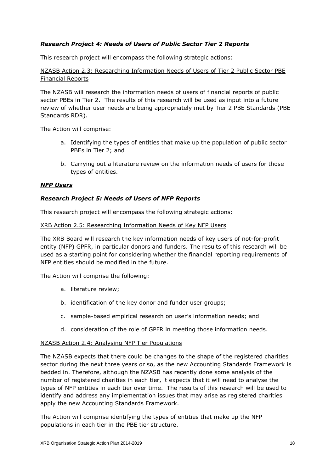#### *Research Project 4: Needs of Users of Public Sector Tier 2 Reports*

This research project will encompass the following strategic actions:

NZASB Action 2.3: Researching Information Needs of Users of Tier 2 Public Sector PBE Financial Reports

The NZASB will research the information needs of users of financial reports of public sector PBEs in Tier 2. The results of this research will be used as input into a future review of whether user needs are being appropriately met by Tier 2 PBE Standards (PBE Standards RDR).

The Action will comprise:

- a. Identifying the types of entities that make up the population of public sector PBEs in Tier 2; and
- b. Carrying out a literature review on the information needs of users for those types of entities.

#### *NFP Users*

#### *Research Project 5: Needs of Users of NFP Reports*

This research project will encompass the following strategic actions:

#### XRB Action 2.5: Researching Information Needs of Key NFP Users

The XRB Board will research the key information needs of key users of not-for-profit entity (NFP) GPFR, in particular donors and funders. The results of this research will be used as a starting point for considering whether the financial reporting requirements of NFP entities should be modified in the future.

The Action will comprise the following:

- a. literature review;
- b. identification of the key donor and funder user groups;
- c. sample-based empirical research on user's information needs; and
- d. consideration of the role of GPFR in meeting those information needs.

#### NZASB Action 2.4: Analysing NFP Tier Populations

The NZASB expects that there could be changes to the shape of the registered charities sector during the next three years or so, as the new Accounting Standards Framework is bedded in. Therefore, although the NZASB has recently done some analysis of the number of registered charities in each tier, it expects that it will need to analyse the types of NFP entities in each tier over time. The results of this research will be used to identify and address any implementation issues that may arise as registered charities apply the new Accounting Standards Framework.

The Action will comprise identifying the types of entities that make up the NFP populations in each tier in the PBE tier structure.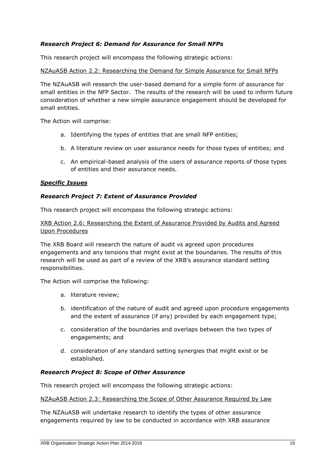#### *Research Project 6: Demand for Assurance for Small NFPs*

This research project will encompass the following strategic actions:

#### NZAuASB Action 2.2: Researching the Demand for Simple Assurance for Small NFPs

The NZAuASB will research the user-based demand for a simple form of assurance for small entities in the NFP Sector. The results of the research will be used to inform future consideration of whether a new simple assurance engagement should be developed for small entities.

The Action will comprise:

- a. Identifying the types of entities that are small NFP entities;
- b. A literature review on user assurance needs for those types of entities; and
- c. An empirical-based analysis of the users of assurance reports of those types of entities and their assurance needs.

#### *Specific Issues*

#### *Research Project 7: Extent of Assurance Provided*

This research project will encompass the following strategic actions:

XRB Action 2.6: Researching the Extent of Assurance Provided by Audits and Agreed Upon Procedures

The XRB Board will research the nature of audit vs agreed upon procedures engagements and any tensions that might exist at the boundaries. The results of this research will be used as part of a review of the XRB's assurance standard setting responsibilities.

The Action will comprise the following:

- a. literature review;
- b. identification of the nature of audit and agreed upon procedure engagements and the extent of assurance (if any) provided by each engagement type;
- c. consideration of the boundaries and overlaps between the two types of engagements; and
- d. consideration of any standard setting synergies that might exist or be established.

#### *Research Project 8: Scope of Other Assurance*

This research project will encompass the following strategic actions:

#### NZAuASB Action 2.3: Researching the Scope of Other Assurance Required by Law

The NZAuASB will undertake research to identify the types of other assurance engagements required by law to be conducted in accordance with XRB assurance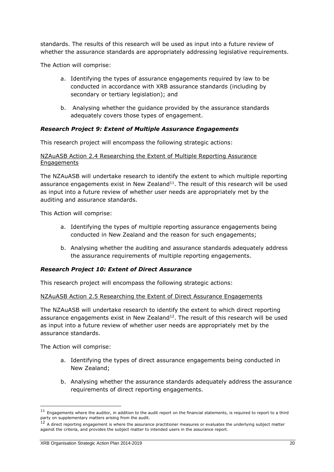standards. The results of this research will be used as input into a future review of whether the assurance standards are appropriately addressing legislative requirements.

The Action will comprise:

- a. Identifying the types of assurance engagements required by law to be conducted in accordance with XRB assurance standards (including by secondary or tertiary legislation); and
- b. Analysing whether the guidance provided by the assurance standards adequately covers those types of engagement.

#### *Research Project 9: Extent of Multiple Assurance Engagements*

This research project will encompass the following strategic actions:

#### NZAuASB Action 2.4 Researching the Extent of Multiple Reporting Assurance **Engagements**

The NZAuASB will undertake research to identify the extent to which multiple reporting assurance engagements exist in New Zealand $11$ . The result of this research will be used as input into a future review of whether user needs are appropriately met by the auditing and assurance standards.

This Action will comprise:

- a. Identifying the types of multiple reporting assurance engagements being conducted in New Zealand and the reason for such engagements;
- b. Analysing whether the auditing and assurance standards adequately address the assurance requirements of multiple reporting engagements.

#### *Research Project 10: Extent of Direct Assurance*

This research project will encompass the following strategic actions:

#### NZAuASB Action 2.5 Researching the Extent of Direct Assurance Engagements

The NZAuASB will undertake research to identify the extent to which direct reporting assurance engagements exist in New Zealand $12$ . The result of this research will be used as input into a future review of whether user needs are appropriately met by the assurance standards.

The Action will comprise:

- a. Identifying the types of direct assurance engagements being conducted in New Zealand;
- b. Analysing whether the assurance standards adequately address the assurance requirements of direct reporting engagements.

 $11$  Engagements where the auditor, in addition to the audit report on the financial statements, is required to report to a third party on supplementary matters arising from the audit.

 $12$  A direct reporting engagement is where the assurance practitioner measures or evaluates the underlying subject matter against the criteria, and provides the subject matter to intended users in the assurance report.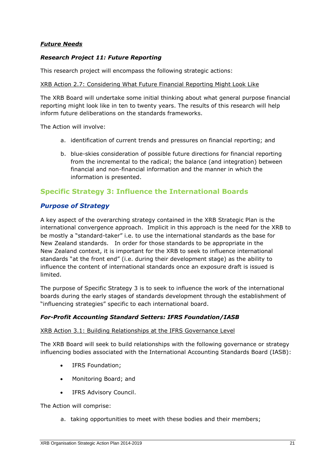#### *Future Needs*

#### *Research Project 11: Future Reporting*

This research project will encompass the following strategic actions:

#### XRB Action 2.7: Considering What Future Financial Reporting Might Look Like

The XRB Board will undertake some initial thinking about what general purpose financial reporting might look like in ten to twenty years. The results of this research will help inform future deliberations on the standards frameworks.

The Action will involve:

- a. identification of current trends and pressures on financial reporting; and
- b. blue-skies consideration of possible future directions for financial reporting from the incremental to the radical; the balance (and integration) between financial and non-financial information and the manner in which the information is presented.

#### **Specific Strategy 3: Influence the International Boards**

#### *Purpose of Strategy*

A key aspect of the overarching strategy contained in the XRB Strategic Plan is the international convergence approach. Implicit in this approach is the need for the XRB to be mostly a "standard-taker" i.e. to use the international standards as the base for New Zealand standards. In order for those standards to be appropriate in the New Zealand context, it is important for the XRB to seek to influence international standards "at the front end" (i.e. during their development stage) as the ability to influence the content of international standards once an exposure draft is issued is limited.

The purpose of Specific Strategy 3 is to seek to influence the work of the international boards during the early stages of standards development through the establishment of "influencing strategies" specific to each international board.

#### *For-Profit Accounting Standard Setters: IFRS Foundation/IASB*

#### XRB Action 3.1: Building Relationships at the IFRS Governance Level

The XRB Board will seek to build relationships with the following governance or strategy influencing bodies associated with the International Accounting Standards Board (IASB):

- IFRS Foundation;
- Monitoring Board; and
- IFRS Advisory Council.

The Action will comprise:

a. taking opportunities to meet with these bodies and their members;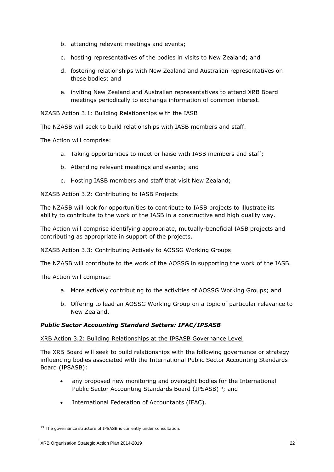- b. attending relevant meetings and events;
- c. hosting representatives of the bodies in visits to New Zealand; and
- d. fostering relationships with New Zealand and Australian representatives on these bodies; and
- e. inviting New Zealand and Australian representatives to attend XRB Board meetings periodically to exchange information of common interest.

#### NZASB Action 3.1: Building Relationships with the IASB

The NZASB will seek to build relationships with IASB members and staff.

The Action will comprise:

- a. Taking opportunities to meet or liaise with IASB members and staff;
- b. Attending relevant meetings and events; and
- c. Hosting IASB members and staff that visit New Zealand;

#### NZASB Action 3.2: Contributing to IASB Projects

The NZASB will look for opportunities to contribute to IASB projects to illustrate its ability to contribute to the work of the IASB in a constructive and high quality way.

The Action will comprise identifying appropriate, mutually-beneficial IASB projects and contributing as appropriate in support of the projects.

#### NZASB Action 3.3: Contributing Actively to AOSSG Working Groups

The NZASB will contribute to the work of the AOSSG in supporting the work of the IASB.

The Action will comprise:

- a. More actively contributing to the activities of AOSSG Working Groups; and
- b. Offering to lead an AOSSG Working Group on a topic of particular relevance to New Zealand.

#### *Public Sector Accounting Standard Setters: IFAC/IPSASB*

#### XRB Action 3.2: Building Relationships at the IPSASB Governance Level

The XRB Board will seek to build relationships with the following governance or strategy influencing bodies associated with the International Public Sector Accounting Standards Board (IPSASB):

- any proposed new monitoring and oversight bodies for the International Public Sector Accounting Standards Board (IPSASB)<sup>13</sup>; and
- International Federation of Accountants (IFAC).

#### XRB Organisation Strategic Action Plan 2014-2019 22

<sup>&</sup>lt;sup>13</sup> The governance structure of IPSASB is currently under consultation.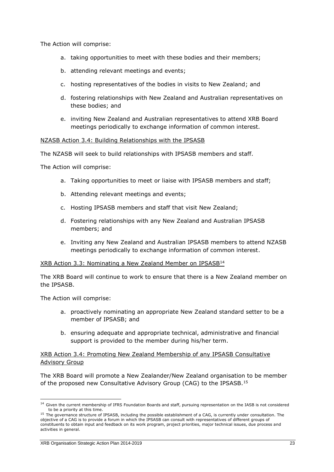The Action will comprise:

- a. taking opportunities to meet with these bodies and their members;
- b. attending relevant meetings and events;
- c. hosting representatives of the bodies in visits to New Zealand; and
- d. fostering relationships with New Zealand and Australian representatives on these bodies; and
- e. inviting New Zealand and Australian representatives to attend XRB Board meetings periodically to exchange information of common interest.

#### NZASB Action 3.4: Building Relationships with the IPSASB

The NZASB will seek to build relationships with IPSASB members and staff.

The Action will comprise:

- a. Taking opportunities to meet or liaise with IPSASB members and staff;
- b. Attending relevant meetings and events;
- c. Hosting IPSASB members and staff that visit New Zealand;
- d. Fostering relationships with any New Zealand and Australian IPSASB members; and
- e. Inviting any New Zealand and Australian IPSASB members to attend NZASB meetings periodically to exchange information of common interest.

#### XRB Action 3.3: Nominating a New Zealand Member on IPSASB<sup>14</sup>

The XRB Board will continue to work to ensure that there is a New Zealand member on the IPSASB.

The Action will comprise:

-

- a. proactively nominating an appropriate New Zealand standard setter to be a member of IPSASB; and
- b. ensuring adequate and appropriate technical, administrative and financial support is provided to the member during his/her term.

#### XRB Action 3.4: Promoting New Zealand Membership of any IPSASB Consultative Advisory Group

The XRB Board will promote a New Zealander/New Zealand organisation to be member of the proposed new Consultative Advisory Group (CAG) to the IPSASB.<sup>15</sup>

<sup>&</sup>lt;sup>14</sup> Given the current membership of IFRS Foundation Boards and staff, pursuing representation on the IASB is not considered to be a priority at this time.

<sup>&</sup>lt;sup>15</sup> The governance structure of IPSASB, including the possible establishment of a CAG, is currently under consultation. The objective of a CAG is to provide a forum in which the IPSASB can consult with representatives of different groups of constituents to obtain input and feedback on its work program, project priorities, major technical issues, due process and activities in general.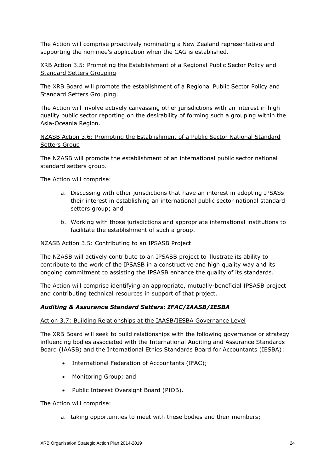The Action will comprise proactively nominating a New Zealand representative and supporting the nominee's application when the CAG is established.

XRB Action 3.5: Promoting the Establishment of a Regional Public Sector Policy and Standard Setters Grouping

The XRB Board will promote the establishment of a Regional Public Sector Policy and Standard Setters Grouping.

The Action will involve actively canvassing other jurisdictions with an interest in high quality public sector reporting on the desirability of forming such a grouping within the Asia-Oceania Region.

NZASB Action 3.6: Promoting the Establishment of a Public Sector National Standard Setters Group

The NZASB will promote the establishment of an international public sector national standard setters group.

The Action will comprise:

- a. Discussing with other jurisdictions that have an interest in adopting IPSASs their interest in establishing an international public sector national standard setters group; and
- b. Working with those jurisdictions and appropriate international institutions to facilitate the establishment of such a group.

#### NZASB Action 3.5: Contributing to an IPSASB Project

The NZASB will actively contribute to an IPSASB project to illustrate its ability to contribute to the work of the IPSASB in a constructive and high quality way and its ongoing commitment to assisting the IPSASB enhance the quality of its standards.

The Action will comprise identifying an appropriate, mutually-beneficial IPSASB project and contributing technical resources in support of that project.

#### *Auditing & Assurance Standard Setters: IFAC/IAASB/IESBA*

#### Action 3.7: Building Relationships at the IAASB/IESBA Governance Level

The XRB Board will seek to build relationships with the following governance or strategy influencing bodies associated with the International Auditing and Assurance Standards Board (IAASB) and the International Ethics Standards Board for Accountants (IESBA):

- International Federation of Accountants (IFAC);
- Monitoring Group; and
- Public Interest Oversight Board (PIOB).

The Action will comprise:

a. taking opportunities to meet with these bodies and their members;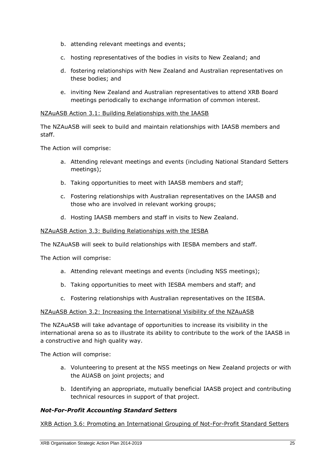- b. attending relevant meetings and events;
- c. hosting representatives of the bodies in visits to New Zealand; and
- d. fostering relationships with New Zealand and Australian representatives on these bodies; and
- e. inviting New Zealand and Australian representatives to attend XRB Board meetings periodically to exchange information of common interest.

#### NZAuASB Action 3.1: Building Relationships with the IAASB

The NZAuASB will seek to build and maintain relationships with IAASB members and staff.

The Action will comprise:

- a. Attending relevant meetings and events (including National Standard Setters meetings);
- b. Taking opportunities to meet with IAASB members and staff;
- c. Fostering relationships with Australian representatives on the IAASB and those who are involved in relevant working groups;
- d. Hosting IAASB members and staff in visits to New Zealand.

#### NZAuASB Action 3.3: Building Relationships with the IESBA

The NZAuASB will seek to build relationships with IESBA members and staff.

The Action will comprise:

- a. Attending relevant meetings and events (including NSS meetings);
- b. Taking opportunities to meet with IESBA members and staff; and
- c. Fostering relationships with Australian representatives on the IESBA.

#### NZAuASB Action 3.2: Increasing the International Visibility of the NZAuASB

The NZAuASB will take advantage of opportunities to increase its visibility in the international arena so as to illustrate its ability to contribute to the work of the IAASB in a constructive and high quality way.

The Action will comprise:

- a. Volunteering to present at the NSS meetings on New Zealand projects or with the AUASB on joint projects; and
- b. Identifying an appropriate, mutually beneficial IAASB project and contributing technical resources in support of that project.

#### *Not-For-Profit Accounting Standard Setters*

XRB Action 3.6: Promoting an International Grouping of Not-For-Profit Standard Setters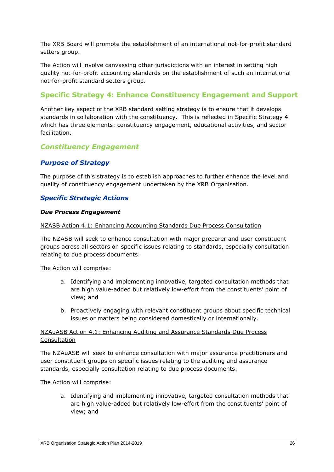The XRB Board will promote the establishment of an international not-for-profit standard setters group.

The Action will involve canvassing other jurisdictions with an interest in setting high quality not-for-profit accounting standards on the establishment of such an international not-for-profit standard setters group.

### **Specific Strategy 4: Enhance Constituency Engagement and Support**

Another key aspect of the XRB standard setting strategy is to ensure that it develops standards in collaboration with the constituency. This is reflected in Specific Strategy 4 which has three elements: constituency engagement, educational activities, and sector facilitation.

#### *Constituency Engagement*

#### *Purpose of Strategy*

The purpose of this strategy is to establish approaches to further enhance the level and quality of constituency engagement undertaken by the XRB Organisation.

#### *Specific Strategic Actions*

#### *Due Process Engagement*

NZASB Action 4.1: Enhancing Accounting Standards Due Process Consultation

The NZASB will seek to enhance consultation with major preparer and user constituent groups across all sectors on specific issues relating to standards, especially consultation relating to due process documents.

The Action will comprise:

- a. Identifying and implementing innovative, targeted consultation methods that are high value-added but relatively low-effort from the constituents' point of view; and
- b. Proactively engaging with relevant constituent groups about specific technical issues or matters being considered domestically or internationally.

#### NZAuASB Action 4.1: Enhancing Auditing and Assurance Standards Due Process Consultation

The NZAuASB will seek to enhance consultation with major assurance practitioners and user constituent groups on specific issues relating to the auditing and assurance standards, especially consultation relating to due process documents.

The Action will comprise:

a. Identifying and implementing innovative, targeted consultation methods that are high value-added but relatively low-effort from the constituents' point of view; and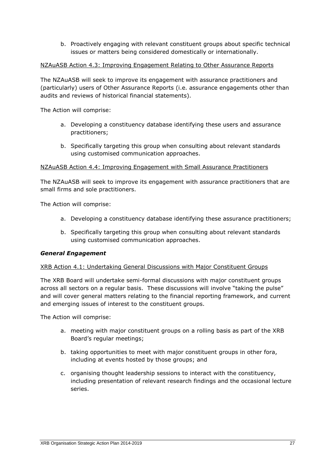b. Proactively engaging with relevant constituent groups about specific technical issues or matters being considered domestically or internationally.

#### NZAuASB Action 4.3: Improving Engagement Relating to Other Assurance Reports

The NZAuASB will seek to improve its engagement with assurance practitioners and (particularly) users of Other Assurance Reports (i.e. assurance engagements other than audits and reviews of historical financial statements).

The Action will comprise:

- a. Developing a constituency database identifying these users and assurance practitioners;
- b. Specifically targeting this group when consulting about relevant standards using customised communication approaches.

#### NZAuASB Action 4.4: Improving Engagement with Small Assurance Practitioners

The NZAuASB will seek to improve its engagement with assurance practitioners that are small firms and sole practitioners.

The Action will comprise:

- a. Developing a constituency database identifying these assurance practitioners;
- b. Specifically targeting this group when consulting about relevant standards using customised communication approaches.

#### *General Engagement*

#### XRB Action 4.1: Undertaking General Discussions with Major Constituent Groups

The XRB Board will undertake semi-formal discussions with major constituent groups across all sectors on a regular basis. These discussions will involve "taking the pulse" and will cover general matters relating to the financial reporting framework, and current and emerging issues of interest to the constituent groups.

The Action will comprise:

- a. meeting with major constituent groups on a rolling basis as part of the XRB Board's regular meetings;
- b. taking opportunities to meet with major constituent groups in other fora, including at events hosted by those groups; and
- c. organising thought leadership sessions to interact with the constituency, including presentation of relevant research findings and the occasional lecture series.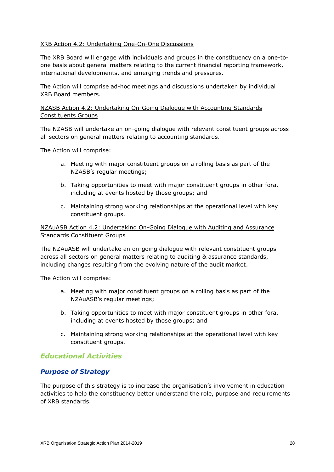#### XRB Action 4.2: Undertaking One-On-One Discussions

The XRB Board will engage with individuals and groups in the constituency on a one-toone basis about general matters relating to the current financial reporting framework, international developments, and emerging trends and pressures.

The Action will comprise ad-hoc meetings and discussions undertaken by individual XRB Board members.

#### NZASB Action 4.2: Undertaking On-Going Dialogue with Accounting Standards Constituents Groups

The NZASB will undertake an on-going dialogue with relevant constituent groups across all sectors on general matters relating to accounting standards.

The Action will comprise:

- a. Meeting with major constituent groups on a rolling basis as part of the NZASB's regular meetings;
- b. Taking opportunities to meet with major constituent groups in other fora, including at events hosted by those groups; and
- c. Maintaining strong working relationships at the operational level with key constituent groups.

#### NZAuASB Action 4.2: Undertaking On-Going Dialogue with Auditing and Assurance Standards Constituent Groups

The NZAuASB will undertake an on-going dialogue with relevant constituent groups across all sectors on general matters relating to auditing & assurance standards, including changes resulting from the evolving nature of the audit market.

The Action will comprise:

- a. Meeting with major constituent groups on a rolling basis as part of the NZAuASB's regular meetings;
- b. Taking opportunities to meet with major constituent groups in other fora, including at events hosted by those groups; and
- c. Maintaining strong working relationships at the operational level with key constituent groups.

#### *Educational Activities*

#### *Purpose of Strategy*

The purpose of this strategy is to increase the organisation's involvement in education activities to help the constituency better understand the role, purpose and requirements of XRB standards.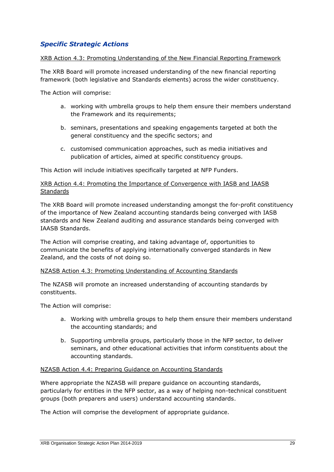#### *Specific Strategic Actions*

#### XRB Action 4.3: Promoting Understanding of the New Financial Reporting Framework

The XRB Board will promote increased understanding of the new financial reporting framework (both legislative and Standards elements) across the wider constituency.

The Action will comprise:

- a. working with umbrella groups to help them ensure their members understand the Framework and its requirements;
- b. seminars, presentations and speaking engagements targeted at both the general constituency and the specific sectors; and
- c. customised communication approaches, such as media initiatives and publication of articles, aimed at specific constituency groups.

This Action will include initiatives specifically targeted at NFP Funders.

#### XRB Action 4.4: Promoting the Importance of Convergence with IASB and IAASB **Standards**

The XRB Board will promote increased understanding amongst the for-profit constituency of the importance of New Zealand accounting standards being converged with IASB standards and New Zealand auditing and assurance standards being converged with IAASB Standards.

The Action will comprise creating, and taking advantage of, opportunities to communicate the benefits of applying internationally converged standards in New Zealand, and the costs of not doing so.

#### NZASB Action 4.3: Promoting Understanding of Accounting Standards

The NZASB will promote an increased understanding of accounting standards by constituents.

The Action will comprise:

- a. Working with umbrella groups to help them ensure their members understand the accounting standards; and
- b. Supporting umbrella groups, particularly those in the NFP sector, to deliver seminars, and other educational activities that inform constituents about the accounting standards.

#### NZASB Action 4.4: Preparing Guidance on Accounting Standards

Where appropriate the NZASB will prepare guidance on accounting standards, particularly for entities in the NFP sector, as a way of helping non-technical constituent groups (both preparers and users) understand accounting standards.

The Action will comprise the development of appropriate guidance.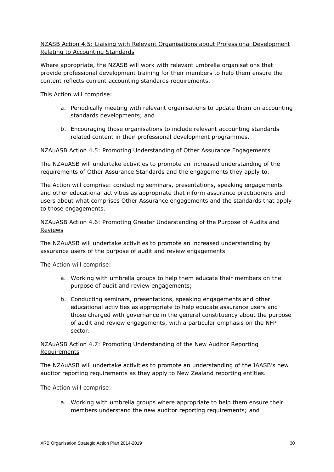#### NZASB Action 4.5: Liaising with Relevant Organisations about Professional Development Relating to Accounting Standards

Where appropriate, the NZASB will work with relevant umbrella organisations that provide professional development training for their members to help them ensure the content reflects current accounting standards requirements.

This Action will comprise:

- a. Periodically meeting with relevant organisations to update them on accounting standards developments; and
- b. Encouraging those organisations to include relevant accounting standards related content in their professional development programmes.

#### NZAuASB Action 4.5: Promoting Understanding of Other Assurance Engagements

The NZAuASB will undertake activities to promote an increased understanding of the requirements of Other Assurance Standards and the engagements they apply to.

The Action will comprise: conducting seminars, presentations, speaking engagements and other educational activities as appropriate that inform assurance practitioners and users about what comprises Other Assurance engagements and the standards that apply to those engagements.

#### NZAuASB Action 4.6: Promoting Greater Understanding of the Purpose of Audits and Reviews

The NZAuASB will undertake activities to promote an increased understanding by assurance users of the purpose of audit and review engagements.

The Action will comprise:

- a. Working with umbrella groups to help them educate their members on the purpose of audit and review engagements;
- b. Conducting seminars, presentations, speaking engagements and other educational activities as appropriate to help educate assurance users and those charged with governance in the general constituency about the purpose of audit and review engagements, with a particular emphasis on the NFP sector.

#### NZAuASB Action 4.7: Promoting Understanding of the New Auditor Reporting **Requirements**

The NZAuASB will undertake activities to promote an understanding of the IAASB's new auditor reporting requirements as they apply to New Zealand reporting entities.

The Action will comprise:

a. Working with umbrella groups where appropriate to help them ensure their members understand the new auditor reporting requirements; and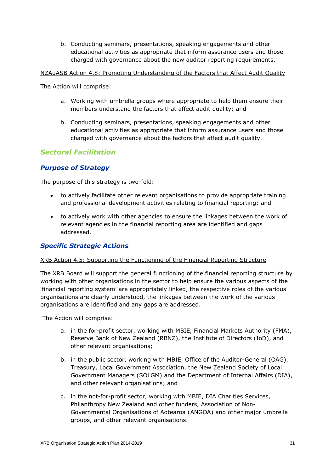b. Conducting seminars, presentations, speaking engagements and other educational activities as appropriate that inform assurance users and those charged with governance about the new auditor reporting requirements.

NZAuASB Action 4.8: Promoting Understanding of the Factors that Affect Audit Quality

The Action will comprise:

- a. Working with umbrella groups where appropriate to help them ensure their members understand the factors that affect audit quality; and
- b. Conducting seminars, presentations, speaking engagements and other educational activities as appropriate that inform assurance users and those charged with governance about the factors that affect audit quality.

#### *Sectoral Facilitation*

#### *Purpose of Strategy*

The purpose of this strategy is two-fold:

- to actively facilitate other relevant organisations to provide appropriate training and professional development activities relating to financial reporting; and
- to actively work with other agencies to ensure the linkages between the work of relevant agencies in the financial reporting area are identified and gaps addressed.

#### *Specific Strategic Actions*

#### XRB Action 4.5: Supporting the Functioning of the Financial Reporting Structure

The XRB Board will support the general functioning of the financial reporting structure by working with other organisations in the sector to help ensure the various aspects of the 'financial reporting system' are appropriately linked, the respective roles of the various organisations are clearly understood, the linkages between the work of the various organisations are identified and any gaps are addressed.

The Action will comprise:

- a. in the for-profit sector, working with MBIE, Financial Markets Authority (FMA), Reserve Bank of New Zealand (RBNZ), the Institute of Directors (IoD), and other relevant organisations;
- b. in the public sector, working with MBIE, Office of the Auditor-General (OAG), Treasury, Local Government Association, the New Zealand Society of Local Government Managers (SOLGM) and the Department of Internal Affairs (DIA), and other relevant organisations; and
- c. in the not-for-profit sector, working with MBIE, DIA Charities Services, Philanthropy New Zealand and other funders, Association of Non-Governmental Organisations of Aotearoa (ANGOA) and other major umbrella groups, and other relevant organisations.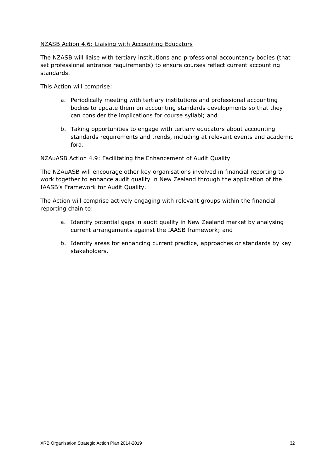#### NZASB Action 4.6: Liaising with Accounting Educators

The NZASB will liaise with tertiary institutions and professional accountancy bodies (that set professional entrance requirements) to ensure courses reflect current accounting standards.

This Action will comprise:

- a. Periodically meeting with tertiary institutions and professional accounting bodies to update them on accounting standards developments so that they can consider the implications for course syllabi; and
- b. Taking opportunities to engage with tertiary educators about accounting standards requirements and trends, including at relevant events and academic fora.

#### NZAuASB Action 4.9: Facilitating the Enhancement of Audit Quality

The NZAuASB will encourage other key organisations involved in financial reporting to work together to enhance audit quality in New Zealand through the application of the IAASB's Framework for Audit Quality.

The Action will comprise actively engaging with relevant groups within the financial reporting chain to:

- a. Identify potential gaps in audit quality in New Zealand market by analysing current arrangements against the IAASB framework; and
- b. Identify areas for enhancing current practice, approaches or standards by key stakeholders.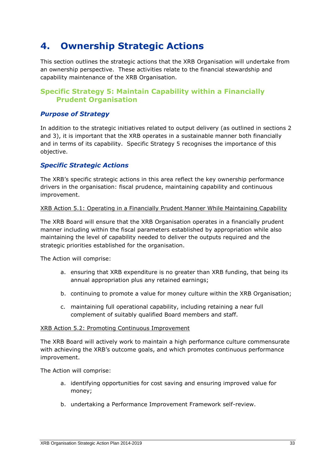### **4. Ownership Strategic Actions**

This section outlines the strategic actions that the XRB Organisation will undertake from an ownership perspective. These activities relate to the financial stewardship and capability maintenance of the XRB Organisation.

#### **Specific Strategy 5: Maintain Capability within a Financially Prudent Organisation**

#### *Purpose of Strategy*

In addition to the strategic initiatives related to output delivery (as outlined in sections 2 and 3), it is important that the XRB operates in a sustainable manner both financially and in terms of its capability. Specific Strategy 5 recognises the importance of this objective.

#### *Specific Strategic Actions*

The XRB's specific strategic actions in this area reflect the key ownership performance drivers in the organisation: fiscal prudence, maintaining capability and continuous improvement.

XRB Action 5.1: Operating in a Financially Prudent Manner While Maintaining Capability

The XRB Board will ensure that the XRB Organisation operates in a financially prudent manner including within the fiscal parameters established by appropriation while also maintaining the level of capability needed to deliver the outputs required and the strategic priorities established for the organisation.

The Action will comprise:

- a. ensuring that XRB expenditure is no greater than XRB funding, that being its annual appropriation plus any retained earnings;
- b. continuing to promote a value for money culture within the XRB Organisation;
- c. maintaining full operational capability, including retaining a near full complement of suitably qualified Board members and staff.

#### XRB Action 5.2: Promoting Continuous Improvement

The XRB Board will actively work to maintain a high performance culture commensurate with achieving the XRB's outcome goals, and which promotes continuous performance improvement.

The Action will comprise:

- a. identifying opportunities for cost saving and ensuring improved value for money;
- b. undertaking a Performance Improvement Framework self-review.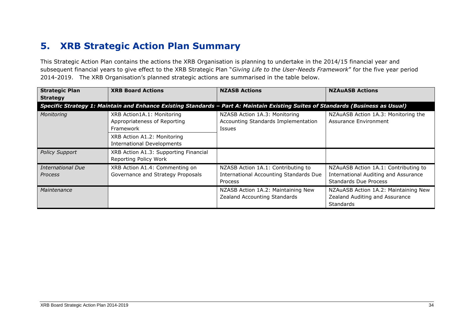## **5. XRB Strategic Action Plan Summary**

This Strategic Action Plan contains the actions the XRB Organisation is planning to undertake in the 2014/15 financial year and subsequent financial years to give effect to the XRB Strategic Plan "*Giving Life to the User-Needs Framework*" for the five year period 2014-2019. The XRB Organisation's planned strategic actions are summarised in the table below.

| <b>Strategic Plan</b><br><b>Strategy</b>                                                                                         | <b>XRB Board Actions</b>                                                | <b>NZASB Actions</b>                                                                    | <b>NZAUASB Actions</b>                                                                                              |
|----------------------------------------------------------------------------------------------------------------------------------|-------------------------------------------------------------------------|-----------------------------------------------------------------------------------------|---------------------------------------------------------------------------------------------------------------------|
| Specific Strategy 1: Maintain and Enhance Existing Standards - Part A: Maintain Existing Suites of Standards (Business as Usual) |                                                                         |                                                                                         |                                                                                                                     |
| Monitoring                                                                                                                       | XRB Action1A.1: Monitoring<br>Appropriateness of Reporting<br>Framework | NZASB Action 1A.3: Monitoring<br>Accounting Standards Implementation<br><b>Issues</b>   | NZAuASB Action 1A.3: Monitoring the<br>Assurance Environment                                                        |
|                                                                                                                                  | XRB Action A1.2: Monitoring<br><b>International Developments</b>        |                                                                                         |                                                                                                                     |
| <b>Policy Support</b>                                                                                                            | XRB Action A1.3: Supporting Financial<br>Reporting Policy Work          |                                                                                         |                                                                                                                     |
| <b>International Due</b><br>Process                                                                                              | XRB Action A1.4: Commenting on<br>Governance and Strategy Proposals     | NZASB Action 1A.1: Contributing to<br>International Accounting Standards Due<br>Process | NZAuASB Action 1A.1: Contributing to<br><b>International Auditing and Assurance</b><br><b>Standards Due Process</b> |
| Maintenance                                                                                                                      |                                                                         | NZASB Action 1A.2: Maintaining New<br>Zealand Accounting Standards                      | NZAuASB Action 1A.2: Maintaining New<br>Zealand Auditing and Assurance<br><b>Standards</b>                          |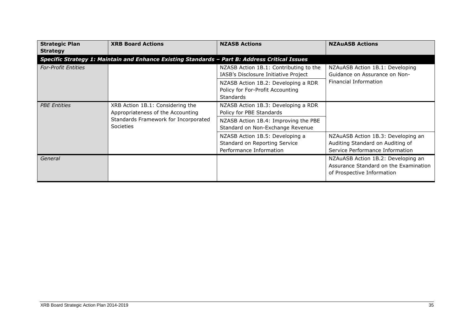| <b>Strategic Plan</b><br><b>Strategy</b> | <b>XRB Board Actions</b>                                                                       | <b>NZASB Actions</b>                                                                        | <b>NZAUASB Actions</b>                                                                                    |
|------------------------------------------|------------------------------------------------------------------------------------------------|---------------------------------------------------------------------------------------------|-----------------------------------------------------------------------------------------------------------|
|                                          | Specific Strategy 1: Maintain and Enhance Existing Standards - Part B: Address Critical Issues |                                                                                             |                                                                                                           |
| <b>For-Profit Entities</b>               |                                                                                                | NZASB Action 1B.1: Contributing to the<br>IASB's Disclosure Initiative Project              | NZAuASB Action 1B.1: Developing<br>Guidance on Assurance on Non-                                          |
|                                          |                                                                                                | NZASB Action 1B.2: Developing a RDR<br>Policy for For-Profit Accounting<br><b>Standards</b> | Financial Information                                                                                     |
| <b>PBE Entities</b>                      | XRB Action 1B.1: Considering the<br>Appropriateness of the Accounting                          | NZASB Action 1B.3: Developing a RDR<br>Policy for PBE Standards                             |                                                                                                           |
|                                          | Standards Framework for Incorporated<br><b>Societies</b>                                       | NZASB Action 1B.4: Improving the PBE<br>Standard on Non-Exchange Revenue                    |                                                                                                           |
|                                          |                                                                                                | NZASB Action 1B.5: Developing a<br>Standard on Reporting Service<br>Performance Information | NZAuASB Action 1B.3: Developing an<br>Auditing Standard on Auditing of<br>Service Performance Information |
| General                                  |                                                                                                |                                                                                             | NZAuASB Action 1B.2: Developing an<br>Assurance Standard on the Examination<br>of Prospective Information |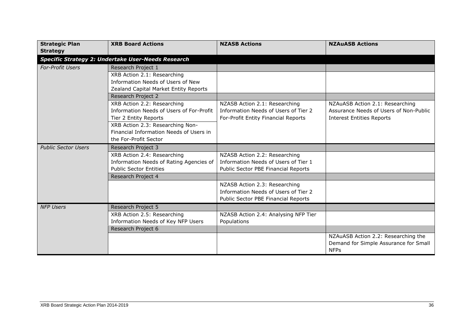| <b>Strategic Plan</b>                                     | <b>XRB Board Actions</b>                 | <b>NZASB Actions</b>                 | <b>NZAUASB Actions</b>                 |
|-----------------------------------------------------------|------------------------------------------|--------------------------------------|----------------------------------------|
| <b>Strategy</b>                                           |                                          |                                      |                                        |
| <b>Specific Strategy 2: Undertake User-Needs Research</b> |                                          |                                      |                                        |
| <b>For-Profit Users</b>                                   | Research Project 1                       |                                      |                                        |
|                                                           | XRB Action 2.1: Researching              |                                      |                                        |
|                                                           | Information Needs of Users of New        |                                      |                                        |
|                                                           | Zealand Capital Market Entity Reports    |                                      |                                        |
|                                                           | Research Project 2                       |                                      |                                        |
|                                                           | XRB Action 2.2: Researching              | NZASB Action 2.1: Researching        | NZAuASB Action 2.1: Researching        |
|                                                           | Information Needs of Users of For-Profit | Information Needs of Users of Tier 2 | Assurance Needs of Users of Non-Public |
|                                                           | Tier 2 Entity Reports                    | For-Profit Entity Financial Reports  | <b>Interest Entities Reports</b>       |
|                                                           | XRB Action 2.3: Researching Non-         |                                      |                                        |
|                                                           | Financial Information Needs of Users in  |                                      |                                        |
|                                                           | the For-Profit Sector                    |                                      |                                        |
| <b>Public Sector Users</b>                                | Research Project 3                       |                                      |                                        |
|                                                           | XRB Action 2.4: Researching              | NZASB Action 2.2: Researching        |                                        |
|                                                           | Information Needs of Rating Agencies of  | Information Needs of Users of Tier 1 |                                        |
|                                                           | <b>Public Sector Entities</b>            | Public Sector PBE Financial Reports  |                                        |
|                                                           | Research Project 4                       |                                      |                                        |
|                                                           |                                          | NZASB Action 2.3: Researching        |                                        |
|                                                           |                                          | Information Needs of Users of Tier 2 |                                        |
|                                                           |                                          | Public Sector PBE Financial Reports  |                                        |
| <b>NFP Users</b>                                          | Research Project 5                       |                                      |                                        |
|                                                           | XRB Action 2.5: Researching              | NZASB Action 2.4: Analysing NFP Tier |                                        |
|                                                           | Information Needs of Key NFP Users       | Populations                          |                                        |
|                                                           | Research Project 6                       |                                      |                                        |
|                                                           |                                          |                                      | NZAuASB Action 2.2: Researching the    |
|                                                           |                                          |                                      | Demand for Simple Assurance for Small  |
|                                                           |                                          |                                      | <b>NFPs</b>                            |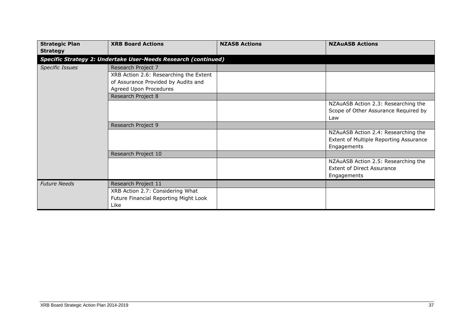| <b>Strategic Plan</b>  | <b>XRB Board Actions</b>                                       | <b>NZASB Actions</b> | <b>NZAuASB Actions</b>                 |  |  |
|------------------------|----------------------------------------------------------------|----------------------|----------------------------------------|--|--|
| <b>Strategy</b>        |                                                                |                      |                                        |  |  |
|                        | Specific Strategy 2: Undertake User-Needs Research (continued) |                      |                                        |  |  |
| <b>Specific Issues</b> | Research Project 7                                             |                      |                                        |  |  |
|                        | XRB Action 2.6: Researching the Extent                         |                      |                                        |  |  |
|                        | of Assurance Provided by Audits and                            |                      |                                        |  |  |
|                        | Agreed Upon Procedures                                         |                      |                                        |  |  |
|                        | Research Project 8                                             |                      |                                        |  |  |
|                        |                                                                |                      | NZAuASB Action 2.3: Researching the    |  |  |
|                        |                                                                |                      | Scope of Other Assurance Required by   |  |  |
|                        |                                                                |                      | Law                                    |  |  |
|                        | Research Project 9                                             |                      |                                        |  |  |
|                        |                                                                |                      | NZAuASB Action 2.4: Researching the    |  |  |
|                        |                                                                |                      | Extent of Multiple Reporting Assurance |  |  |
|                        |                                                                |                      | Engagements                            |  |  |
|                        | Research Project 10                                            |                      |                                        |  |  |
|                        |                                                                |                      | NZAuASB Action 2.5: Researching the    |  |  |
|                        |                                                                |                      | <b>Extent of Direct Assurance</b>      |  |  |
|                        |                                                                |                      | Engagements                            |  |  |
| <b>Future Needs</b>    | Research Project 11                                            |                      |                                        |  |  |
|                        | XRB Action 2.7: Considering What                               |                      |                                        |  |  |
|                        | Future Financial Reporting Might Look                          |                      |                                        |  |  |
|                        | Like                                                           |                      |                                        |  |  |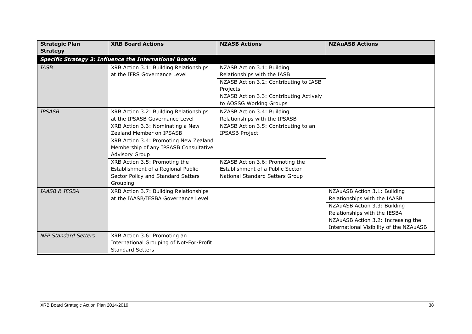| <b>Strategic Plan</b>                                          | <b>XRB Board Actions</b>                 | <b>NZASB Actions</b>                    | <b>NZAUASB Actions</b>                  |  |
|----------------------------------------------------------------|------------------------------------------|-----------------------------------------|-----------------------------------------|--|
| <b>Strategy</b>                                                |                                          |                                         |                                         |  |
| <b>Specific Strategy 3: Influence the International Boards</b> |                                          |                                         |                                         |  |
| <b>IASB</b>                                                    | XRB Action 3.1: Building Relationships   | NZASB Action 3.1: Building              |                                         |  |
|                                                                | at the IFRS Governance Level             | Relationships with the IASB             |                                         |  |
|                                                                |                                          | NZASB Action 3.2: Contributing to IASB  |                                         |  |
|                                                                |                                          | Projects                                |                                         |  |
|                                                                |                                          | NZASB Action 3.3: Contributing Actively |                                         |  |
|                                                                |                                          | to AOSSG Working Groups                 |                                         |  |
| <b>IPSASB</b>                                                  | XRB Action 3.2: Building Relationships   | NZASB Action 3.4: Building              |                                         |  |
|                                                                | at the IPSASB Governance Level           | Relationships with the IPSASB           |                                         |  |
|                                                                | XRB Action 3.3: Nominating a New         | NZASB Action 3.5: Contributing to an    |                                         |  |
|                                                                | Zealand Member on IPSASB                 | <b>IPSASB Project</b>                   |                                         |  |
|                                                                | XRB Action 3.4: Promoting New Zealand    |                                         |                                         |  |
|                                                                | Membership of any IPSASB Consultative    |                                         |                                         |  |
|                                                                | <b>Advisory Group</b>                    |                                         |                                         |  |
|                                                                | XRB Action 3.5: Promoting the            | NZASB Action 3.6: Promoting the         |                                         |  |
|                                                                | Establishment of a Regional Public       | Establishment of a Public Sector        |                                         |  |
|                                                                | Sector Policy and Standard Setters       | National Standard Setters Group         |                                         |  |
|                                                                | Grouping                                 |                                         |                                         |  |
| <b>IAASB &amp; IESBA</b>                                       | XRB Action 3.7: Building Relationships   |                                         | NZAuASB Action 3.1: Building            |  |
|                                                                | at the IAASB/IESBA Governance Level      |                                         | Relationships with the IAASB            |  |
|                                                                |                                          |                                         | NZAuASB Action 3.3: Building            |  |
|                                                                |                                          |                                         | Relationships with the IESBA            |  |
|                                                                |                                          |                                         | NZAuASB Action 3.2: Increasing the      |  |
|                                                                |                                          |                                         | International Visibility of the NZAuASB |  |
| <b>NFP Standard Setters</b>                                    | XRB Action 3.6: Promoting an             |                                         |                                         |  |
|                                                                | International Grouping of Not-For-Profit |                                         |                                         |  |
|                                                                | <b>Standard Setters</b>                  |                                         |                                         |  |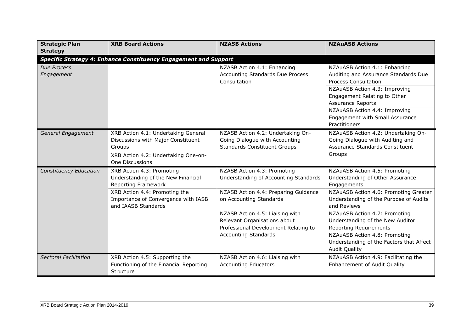| <b>Strategic Plan</b>  | <b>XRB Board Actions</b>                                                                                                   | <b>NZASB Actions</b>                                                                                       | <b>NZAuASB Actions</b>                                                                                               |  |  |
|------------------------|----------------------------------------------------------------------------------------------------------------------------|------------------------------------------------------------------------------------------------------------|----------------------------------------------------------------------------------------------------------------------|--|--|
| <b>Strategy</b>        |                                                                                                                            |                                                                                                            |                                                                                                                      |  |  |
|                        | <b>Specific Strategy 4: Enhance Constituency Engagement and Support</b>                                                    |                                                                                                            |                                                                                                                      |  |  |
| Due Process            |                                                                                                                            | NZASB Action 4.1: Enhancing                                                                                | NZAuASB Action 4.1: Enhancing                                                                                        |  |  |
| Engagement             |                                                                                                                            | <b>Accounting Standards Due Process</b><br>Consultation                                                    | Auditing and Assurance Standards Due<br><b>Process Consultation</b>                                                  |  |  |
|                        |                                                                                                                            |                                                                                                            | NZAuASB Action 4.3: Improving<br>Engagement Relating to Other<br><b>Assurance Reports</b>                            |  |  |
|                        |                                                                                                                            |                                                                                                            | NZAuASB Action 4.4: Improving<br>Engagement with Small Assurance<br>Practitioners                                    |  |  |
| General Engagement     | XRB Action 4.1: Undertaking General<br>Discussions with Major Constituent<br>Groups<br>XRB Action 4.2: Undertaking One-on- | NZASB Action 4.2: Undertaking On-<br>Going Dialogue with Accounting<br><b>Standards Constituent Groups</b> | NZAuASB Action 4.2: Undertaking On-<br>Going Dialogue with Auditing and<br>Assurance Standards Constituent<br>Groups |  |  |
|                        | One Discussions                                                                                                            |                                                                                                            |                                                                                                                      |  |  |
| Constituency Education | XRB Action 4.3: Promoting<br>Understanding of the New Financial<br>Reporting Framework                                     | NZASB Action 4.3: Promoting<br>Understanding of Accounting Standards                                       | NZAuASB Action 4.5: Promoting<br>Understanding of Other Assurance<br>Engagements                                     |  |  |
|                        | XRB Action 4.4: Promoting the<br>Importance of Convergence with IASB<br>and IAASB Standards                                | NZASB Action 4.4: Preparing Guidance<br>on Accounting Standards                                            | NZAuASB Action 4.6: Promoting Greater<br>Understanding of the Purpose of Audits<br>and Reviews                       |  |  |
|                        |                                                                                                                            | NZASB Action 4.5: Liaising with<br>Relevant Organisations about<br>Professional Development Relating to    | NZAuASB Action 4.7: Promoting<br>Understanding of the New Auditor<br><b>Reporting Requirements</b>                   |  |  |
|                        |                                                                                                                            | <b>Accounting Standards</b>                                                                                | NZAuASB Action 4.8: Promoting<br>Understanding of the Factors that Affect<br><b>Audit Quality</b>                    |  |  |
| Sectoral Facilitation  | XRB Action 4.5: Supporting the<br>Functioning of the Financial Reporting<br>Structure                                      | NZASB Action 4.6: Liaising with<br><b>Accounting Educators</b>                                             | NZAuASB Action 4.9: Facilitating the<br><b>Enhancement of Audit Quality</b>                                          |  |  |